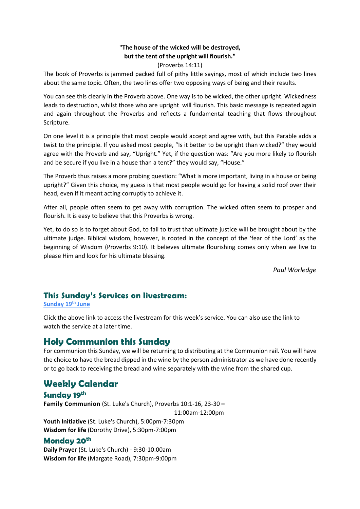#### **"The house of the wicked will be destroyed, but the tent of the upright will flourish."**

#### (Proverbs 14:11)

The book of Proverbs is jammed packed full of pithy little sayings, most of which include two lines about the same topic. Often, the two lines offer two opposing ways of being and their results.

You can see this clearly in the Proverb above. One way is to be wicked, the other upright. Wickedness leads to destruction, whilst those who are upright will flourish. This basic message is repeated again and again throughout the Proverbs and reflects a fundamental teaching that flows throughout Scripture.

On one level it is a principle that most people would accept and agree with, but this Parable adds a twist to the principle. If you asked most people, "Is it better to be upright than wicked?" they would agree with the Proverb and say, "Upright." Yet, if the question was: "Are you more likely to flourish and be secure if you live in a house than a tent?" they would say, "House."

The Proverb thus raises a more probing question: "What is more important, living in a house or being upright?" Given this choice, my guess is that most people would go for having a solid roof over their head, even if it meant acting corruptly to achieve it.

After all, people often seem to get away with corruption. The wicked often seem to prosper and flourish. It is easy to believe that this Proverbs is wrong.

Yet, to do so is to forget about God, to fail to trust that ultimate justice will be brought about by the ultimate judge. Biblical wisdom, however, is rooted in the concept of the 'fear of the Lord' as the beginning of Wisdom (Proverbs 9:10). It believes ultimate flourishing comes only when we live to please Him and look for his ultimate blessing.

*Paul Worledge*

## **This Sunday's Services on livestream:**

**[Sunday 19](https://youtu.be/bi6TDMHT1-M)th June**

Click the above link to access the livestream for this week's service. You can also use the link to watch the service at a later time.

# **Holy Communion this Sunday**

For communion this Sunday, we will be returning to distributing at the Communion rail. You will have the choice to have the bread dipped in the wine by the person administrator as we have done recently or to go back to receiving the bread and wine separately with the wine from the shared cup.

# **Weekly Calendar**

**Sunday 19th Family Communion** (St. Luke's Church), Proverbs 10:1-16, 23-30 **–** 11:00am-12:00pm **Youth Initiative** (St. Luke's Church), 5:00pm-7:30pm **Wisdom for life** (Dorothy Drive), 5:30pm-7:00pm

## **Monday 20th**

**Daily Prayer** (St. Luke's Church) - 9:30-10:00am **Wisdom for life** (Margate Road), 7:30pm-9:00pm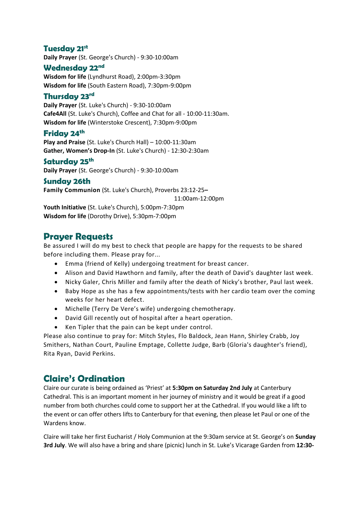## **Tuesday 21st**

**Daily Prayer** (St. George's Church) - 9:30-10:00am

## **Wednesday 22nd**

**Wisdom for life** (Lyndhurst Road), 2:00pm-3:30pm **Wisdom for life** (South Eastern Road), 7:30pm-9:00pm

### **Thursday 23rd**

**Daily Prayer** (St. Luke's Church) - 9:30-10:00am **Cafe4All** (St. Luke's Church), Coffee and Chat for all - 10:00-11:30am. **Wisdom for life** (Winterstoke Crescent), 7:30pm-9:00pm

#### **Friday 24th**

**Play and Praise** (St. Luke's Church Hall) – 10:00-11:30am **Gather, Women's Drop-In** (St. Luke's Church) - 12:30-2:30am

## **Saturday 25th**

**Daily Prayer** (St. George's Church) - 9:30-10:00am

#### **Sunday 26th**

**Family Communion** (St. Luke's Church), Proverbs 23:12-25**–** 11:00am-12:00pm **Youth Initiative** (St. Luke's Church), 5:00pm-7:30pm

**Wisdom for life** (Dorothy Drive), 5:30pm-7:00pm

## **Prayer Requests**

Be assured I will do my best to check that people are happy for the requests to be shared before including them. Please pray for...

- Emma (friend of Kelly) undergoing treatment for breast cancer.
- Alison and David Hawthorn and family, after the death of David's daughter last week.
- Nicky Galer, Chris Miller and family after the death of Nicky's brother, Paul last week.
- Baby Hope as she has a few appointments/tests with her cardio team over the coming weeks for her heart defect.
- Michelle (Terry De Vere's wife) undergoing chemotherapy.
- David Gill recently out of hospital after a heart operation.
- Ken Tipler that the pain can be kept under control.

Please also continue to pray for: Mitch Styles, Flo Baldock, Jean Hann, Shirley Crabb, Joy Smithers, Nathan Court, Pauline Emptage, Collette Judge, Barb (Gloria's daughter's friend), Rita Ryan, David Perkins.

# **Claire's Ordination**

Claire our curate is being ordained as 'Priest' at **5:30pm on Saturday 2nd July** at Canterbury Cathedral. This is an important moment in her journey of ministry and it would be great if a good number from both churches could come to support her at the Cathedral. If you would like a lift to the event or can offer others lifts to Canterbury for that evening, then please let Paul or one of the Wardens know.

Claire will take her first Eucharist / Holy Communion at the 9:30am service at St. George's on **Sunday 3rd July**. We will also have a bring and share (picnic) lunch in St. Luke's Vicarage Garden from **12:30-**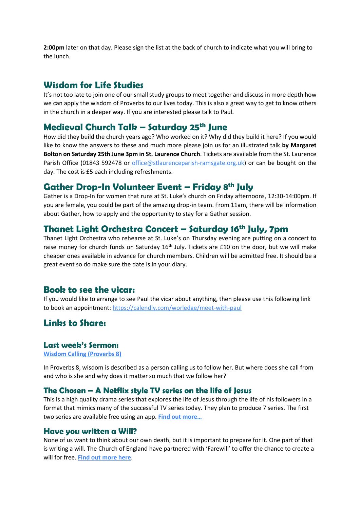**2:00pm** later on that day. Please sign the list at the back of church to indicate what you will bring to the lunch.

## **Wisdom for Life Studies**

It's not too late to join one of our small study groups to meet together and discuss in more depth how we can apply the wisdom of Proverbs to our lives today. This is also a great way to get to know others in the church in a deeper way. If you are interested please talk to Paul.

# **Medieval Church Talk – Saturday 25th June**

How did they build the church years ago? Who worked on it? Why did they build it here? If you would like to know the answers to these and much more please join us for an illustrated talk **by Margaret Bolton on Saturday 25th June 3pm in St. Laurence Church**. Tickets are available from the St. Laurence Parish Office (01843 592478 or [office@stlaurenceparish-ramsgate.org.uk\)](mailto:office@stlaurenceparish-ramsgate.org.uk) or can be bought on the day. The cost is £5 each including refreshments.

# **Gather Drop-In Volunteer Event – Friday 8th July**

Gather is a Drop-In for women that runs at St. Luke's church on Friday afternoons, 12:30-14:00pm. If you are female, you could be part of the amazing drop-in team. From 11am, there will be information about Gather, how to apply and the opportunity to stay for a Gather session.

# **Thanet Light Orchestra Concert – Saturday 16th July, 7pm**

Thanet Light Orchestra who rehearse at St. Luke's on Thursday evening are putting on a concert to raise money for church funds on Saturday 16<sup>th</sup> July. Tickets are £10 on the door, but we will make cheaper ones available in advance for church members. Children will be admitted free. It should be a great event so do make sure the date is in your diary.

## **Book to see the vicar:**

If you would like to arrange to see Paul the vicar about anything, then please use this following link to book an appointment:<https://calendly.com/worledge/meet-with-paul>

# Linbs to Share:

#### **Last week's Sermon:**

**[Wisdom Calling \(Proverbs 8\)](https://www.stlukesramsgate.org/sermons/wisdom-calling-proverbs-8)**

In Proverbs 8, wisdom is described as a person calling us to follow her. But where does she call from and who is she and why does it matter so much that we follow her?

### **The Chosen – A Netflix style TV series on the life of Jesus**

This is a high quality drama series that explores the life of Jesus through the life of his followers in a format that mimics many of the successful TV series today. They plan to produce 7 series. The first two series are available free using an app. **[Find out more…](https://watch.angelstudios.com/thechosen)**

### **Have you written a Will?**

None of us want to think about our own death, but it is important to prepare for it. One part of that is writing a will. The Church of England have partnered with 'Farewill' to offer the chance to create a will for free. **[Find out more here](https://farewill.com/parish-buying)**.